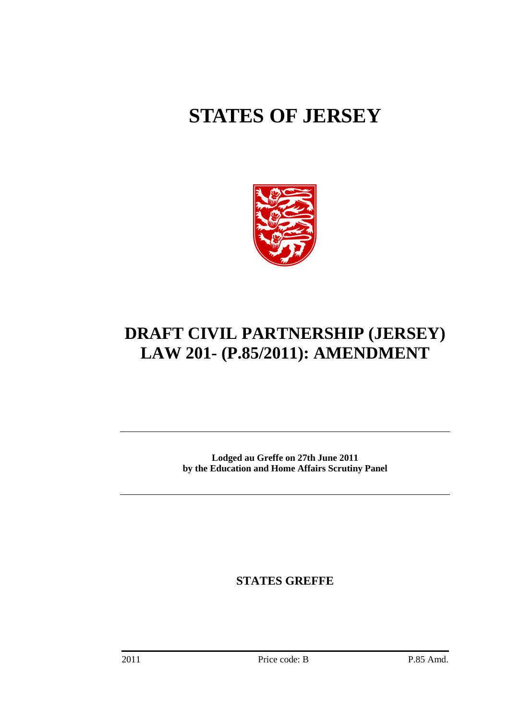# **STATES OF JERSEY**



# **DRAFT CIVIL PARTNERSHIP (JERSEY) LAW 201- (P.85/2011): AMENDMENT**

**Lodged au Greffe on 27th June 2011 by the Education and Home Affairs Scrutiny Panel** 

**STATES GREFFE**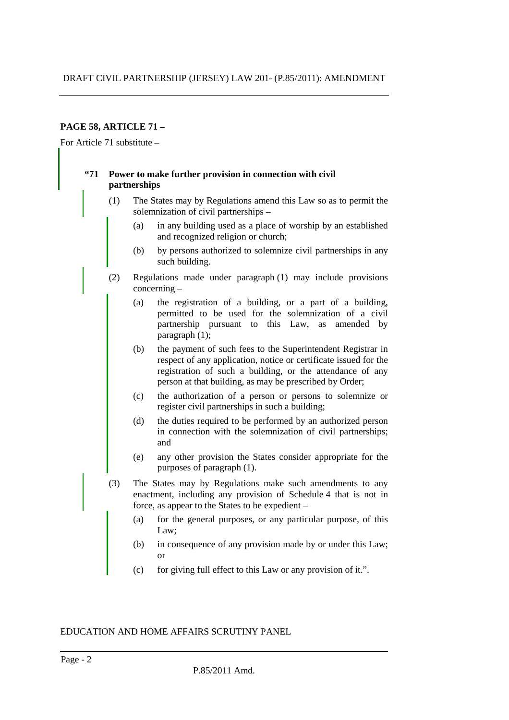# **PAGE 58, ARTICLE 71 –**

For Article 71 substitute –

#### **"71 Power to make further provision in connection with civil partnerships**

- (1) The States may by Regulations amend this Law so as to permit the solemnization of civil partnerships –
	- (a) in any building used as a place of worship by an established and recognized religion or church;
	- (b) by persons authorized to solemnize civil partnerships in any such building.
- (2) Regulations made under paragraph (1) may include provisions concerning –
	- (a) the registration of a building, or a part of a building, permitted to be used for the solemnization of a civil partnership pursuant to this Law, as amended by paragraph  $(1)$ ;
	- (b) the payment of such fees to the Superintendent Registrar in respect of any application, notice or certificate issued for the registration of such a building, or the attendance of any person at that building, as may be prescribed by Order;
	- (c) the authorization of a person or persons to solemnize or register civil partnerships in such a building;
	- (d) the duties required to be performed by an authorized person in connection with the solemnization of civil partnerships; and
	- (e) any other provision the States consider appropriate for the purposes of paragraph (1).
- (3) The States may by Regulations make such amendments to any enactment, including any provision of Schedule 4 that is not in force, as appear to the States to be expedient –
	- (a) for the general purposes, or any particular purpose, of this Law;
	- (b) in consequence of any provision made by or under this Law; or
	- (c) for giving full effect to this Law or any provision of it.".

#### EDUCATION AND HOME AFFAIRS SCRUTINY PANEL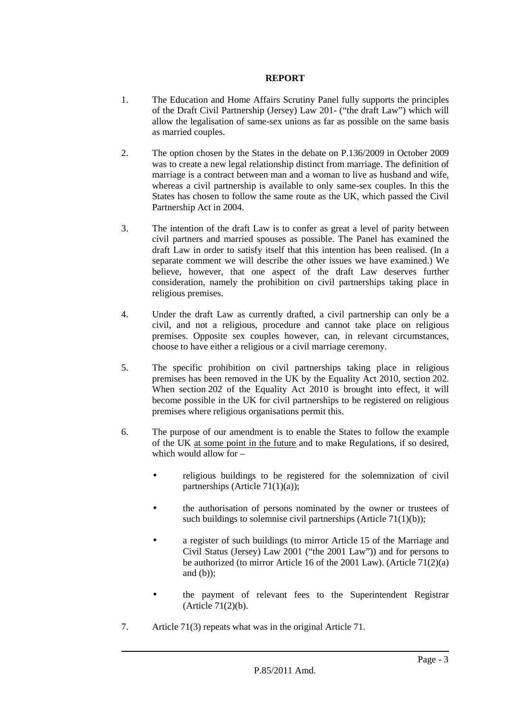## **REPORT**

- 1. The Education and Home Affairs Scrutiny Panel fully supports the principles of the Draft Civil Partnership (Jersey) Law 201- ("the draft Law") which will allow the legalisation of same-sex unions as far as possible on the same basis as married couples.
- 2. The option chosen by the States in the debate on P.136/2009 in October 2009 was to create a new legal relationship distinct from marriage. The definition of marriage is a contract between man and a woman to live as husband and wife, whereas a civil partnership is available to only same-sex couples. In this the States has chosen to follow the same route as the UK, which passed the Civil Partnership Act in 2004.
- 3. The intention of the draft Law is to confer as great a level of parity between civil partners and married spouses as possible. The Panel has examined the draft Law in order to satisfy itself that this intention has been realised. (In a separate comment we will describe the other issues we have examined.) We believe, however, that one aspect of the draft Law deserves further consideration, namely the prohibition on civil partnerships taking place in religious premises.
- 4. Under the draft Law as currently drafted, a civil partnership can only be a civil, and not a religious, procedure and cannot take place on religious premises. Opposite sex couples however, can, in relevant circumstances, choose to have either a religious or a civil marriage ceremony.
- 5. The specific prohibition on civil partnerships taking place in religious premises has been removed in the UK by the Equality Act 2010, section 202. When section 202 of the Equality Act 2010 is brought into effect, it will become possible in the UK for civil partnerships to be registered on religious premises where religious organisations permit this.
- 6. The purpose of our amendment is to enable the States to follow the example of the UK at some point in the future and to make Regulations, if so desired, which would allow for –
	- religious buildings to be registered for the solemnization of civil partnerships (Article 71(1)(a));
	- the authorisation of persons nominated by the owner or trustees of such buildings to solemnise civil partnerships (Article  $71(1)(b)$ );
	- a register of such buildings (to mirror Article 15 of the Marriage and Civil Status (Jersey) Law 2001 ("the 2001 Law")) and for persons to be authorized (to mirror Article 16 of the 2001 Law). (Article 71(2)(a) and  $(b)$ :
	- the payment of relevant fees to the Superintendent Registrar (Article 71(2)(b).
- 7. Article 71(3) repeats what was in the original Article 71.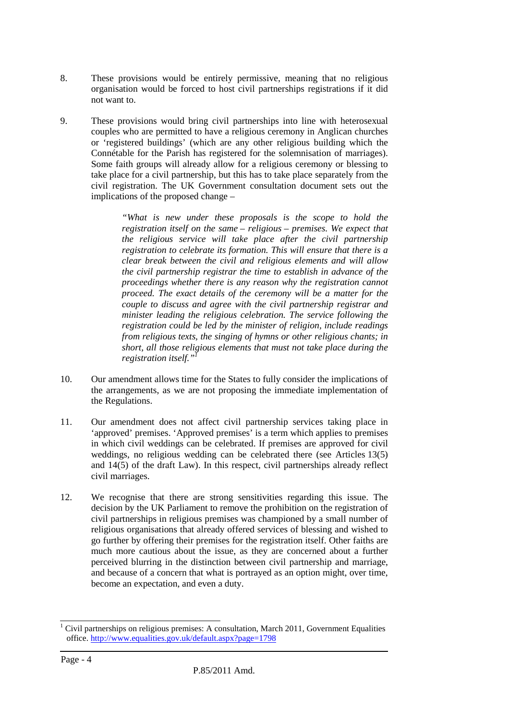- 8. These provisions would be entirely permissive, meaning that no religious organisation would be forced to host civil partnerships registrations if it did not want to.
- 9. These provisions would bring civil partnerships into line with heterosexual couples who are permitted to have a religious ceremony in Anglican churches or 'registered buildings' (which are any other religious building which the Connétable for the Parish has registered for the solemnisation of marriages). Some faith groups will already allow for a religious ceremony or blessing to take place for a civil partnership, but this has to take place separately from the civil registration. The UK Government consultation document sets out the implications of the proposed change –

*"What is new under these proposals is the scope to hold the registration itself on the same – religious – premises. We expect that the religious service will take place after the civil partnership registration to celebrate its formation. This will ensure that there is a clear break between the civil and religious elements and will allow the civil partnership registrar the time to establish in advance of the proceedings whether there is any reason why the registration cannot proceed. The exact details of the ceremony will be a matter for the couple to discuss and agree with the civil partnership registrar and minister leading the religious celebration. The service following the registration could be led by the minister of religion, include readings from religious texts, the singing of hymns or other religious chants; in short, all those religious elements that must not take place during the registration itself."<sup>1</sup>*

- 10. Our amendment allows time for the States to fully consider the implications of the arrangements, as we are not proposing the immediate implementation of the Regulations.
- 11. Our amendment does not affect civil partnership services taking place in 'approved' premises. 'Approved premises' is a term which applies to premises in which civil weddings can be celebrated. If premises are approved for civil weddings, no religious wedding can be celebrated there (see Articles 13(5) and 14(5) of the draft Law). In this respect, civil partnerships already reflect civil marriages.
- 12. We recognise that there are strong sensitivities regarding this issue. The decision by the UK Parliament to remove the prohibition on the registration of civil partnerships in religious premises was championed by a small number of religious organisations that already offered services of blessing and wished to go further by offering their premises for the registration itself. Other faiths are much more cautious about the issue, as they are concerned about a further perceived blurring in the distinction between civil partnership and marriage, and because of a concern that what is portrayed as an option might, over time, become an expectation, and even a duty.

 $1$  Civil partnerships on religious premises: A consultation, March 2011, Government Equalities office. http://www.equalities.gov.uk/default.aspx?page=1798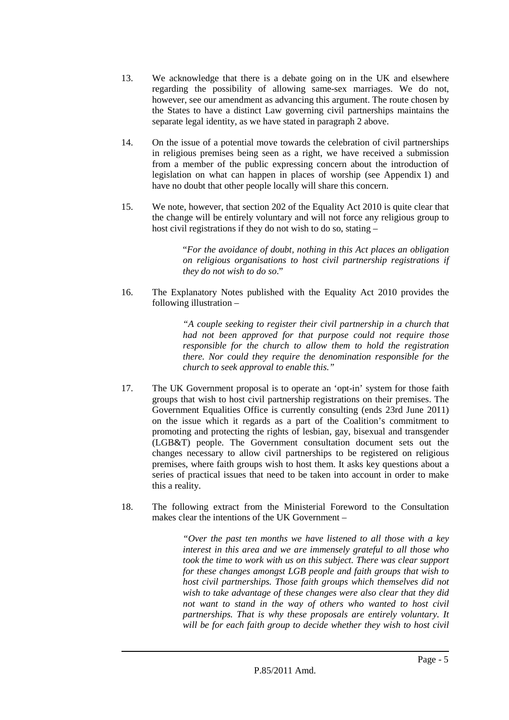- 13. We acknowledge that there is a debate going on in the UK and elsewhere regarding the possibility of allowing same-sex marriages. We do not, however, see our amendment as advancing this argument. The route chosen by the States to have a distinct Law governing civil partnerships maintains the separate legal identity, as we have stated in paragraph 2 above.
- 14. On the issue of a potential move towards the celebration of civil partnerships in religious premises being seen as a right, we have received a submission from a member of the public expressing concern about the introduction of legislation on what can happen in places of worship (see Appendix 1) and have no doubt that other people locally will share this concern.
- 15. We note, however, that section 202 of the Equality Act 2010 is quite clear that the change will be entirely voluntary and will not force any religious group to host civil registrations if they do not wish to do so, stating –

"*For the avoidance of doubt, nothing in this Act places an obligation on religious organisations to host civil partnership registrations if they do not wish to do so*."

16. The Explanatory Notes published with the Equality Act 2010 provides the following illustration –

> *"A couple seeking to register their civil partnership in a church that had not been approved for that purpose could not require those responsible for the church to allow them to hold the registration there. Nor could they require the denomination responsible for the church to seek approval to enable this."*

- 17. The UK Government proposal is to operate an 'opt-in' system for those faith groups that wish to host civil partnership registrations on their premises. The Government Equalities Office is currently consulting (ends 23rd June 2011) on the issue which it regards as a part of the Coalition's commitment to promoting and protecting the rights of lesbian, gay, bisexual and transgender (LGB&T) people. The Government consultation document sets out the changes necessary to allow civil partnerships to be registered on religious premises, where faith groups wish to host them. It asks key questions about a series of practical issues that need to be taken into account in order to make this a reality.
- 18. The following extract from the Ministerial Foreword to the Consultation makes clear the intentions of the UK Government –

*"Over the past ten months we have listened to all those with a key interest in this area and we are immensely grateful to all those who took the time to work with us on this subject. There was clear support for these changes amongst LGB people and faith groups that wish to host civil partnerships. Those faith groups which themselves did not wish to take advantage of these changes were also clear that they did not want to stand in the way of others who wanted to host civil partnerships. That is why these proposals are entirely voluntary. It will be for each faith group to decide whether they wish to host civil*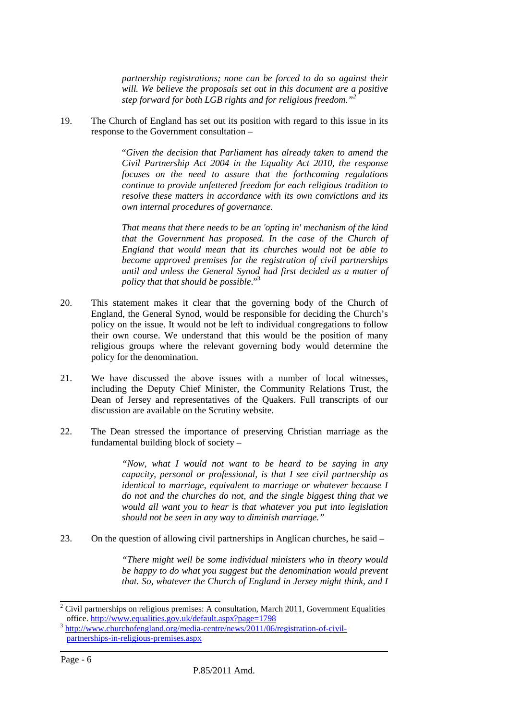*partnership registrations; none can be forced to do so against their will. We believe the proposals set out in this document are a positive step forward for both LGB rights and for religious freedom."<sup>2</sup>*

19. The Church of England has set out its position with regard to this issue in its response to the Government consultation –

> "*Given the decision that Parliament has already taken to amend the Civil Partnership Act 2004 in the Equality Act 2010, the response focuses on the need to assure that the forthcoming regulations continue to provide unfettered freedom for each religious tradition to resolve these matters in accordance with its own convictions and its own internal procedures of governance.*

> *That means that there needs to be an 'opting in' mechanism of the kind that the Government has proposed. In the case of the Church of England that would mean that its churches would not be able to become approved premises for the registration of civil partnerships until and unless the General Synod had first decided as a matter of policy that that should be possible*."<sup>3</sup>

- 20. This statement makes it clear that the governing body of the Church of England, the General Synod, would be responsible for deciding the Church's policy on the issue. It would not be left to individual congregations to follow their own course. We understand that this would be the position of many religious groups where the relevant governing body would determine the policy for the denomination.
- 21. We have discussed the above issues with a number of local witnesses, including the Deputy Chief Minister, the Community Relations Trust, the Dean of Jersey and representatives of the Quakers. Full transcripts of our discussion are available on the Scrutiny website.
- 22. The Dean stressed the importance of preserving Christian marriage as the fundamental building block of society –

*"Now, what I would not want to be heard to be saying in any capacity, personal or professional, is that I see civil partnership as identical to marriage, equivalent to marriage or whatever because I do not and the churches do not, and the single biggest thing that we would all want you to hear is that whatever you put into legislation should not be seen in any way to diminish marriage."* 

23. On the question of allowing civil partnerships in Anglican churches, he said –

*"There might well be some individual ministers who in theory would be happy to do what you suggest but the denomination would prevent that. So, whatever the Church of England in Jersey might think, and I* 

 $2^2$  Civil partnerships on religious premises: A consultation, March 2011, Government Equalities office. http://www.equalities.gov.uk/default.aspx?page=1798

<sup>&</sup>lt;sup>3</sup> http://www.churchofengland.org/media-centre/news/2011/06/registration-of-civilpartnerships-in-religious-premises.aspx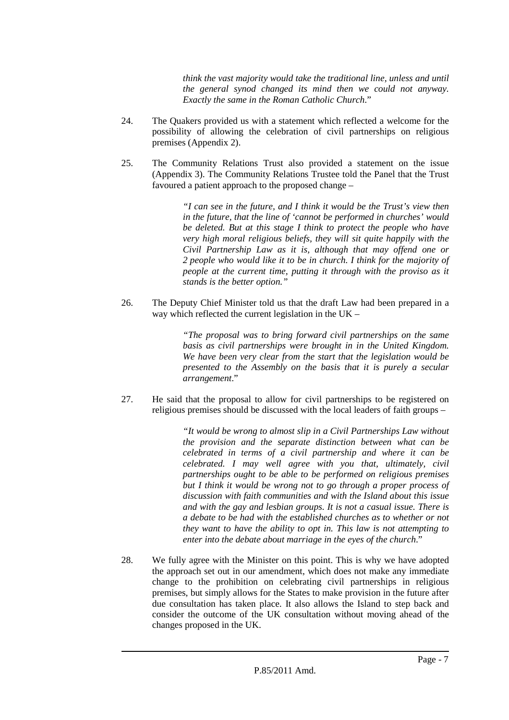*think the vast majority would take the traditional line, unless and until the general synod changed its mind then we could not anyway. Exactly the same in the Roman Catholic Church*."

- 24. The Quakers provided us with a statement which reflected a welcome for the possibility of allowing the celebration of civil partnerships on religious premises (Appendix 2).
- 25. The Community Relations Trust also provided a statement on the issue (Appendix 3). The Community Relations Trustee told the Panel that the Trust favoured a patient approach to the proposed change –

*"I can see in the future, and I think it would be the Trust's view then in the future, that the line of 'cannot be performed in churches' would be deleted. But at this stage I think to protect the people who have very high moral religious beliefs, they will sit quite happily with the Civil Partnership Law as it is, although that may offend one or 2 people who would like it to be in church. I think for the majority of people at the current time, putting it through with the proviso as it stands is the better option."* 

26. The Deputy Chief Minister told us that the draft Law had been prepared in a way which reflected the current legislation in the UK –

> *"The proposal was to bring forward civil partnerships on the same basis as civil partnerships were brought in in the United Kingdom. We have been very clear from the start that the legislation would be presented to the Assembly on the basis that it is purely a secular arrangement*."

27. He said that the proposal to allow for civil partnerships to be registered on religious premises should be discussed with the local leaders of faith groups –

> *"It would be wrong to almost slip in a Civil Partnerships Law without the provision and the separate distinction between what can be celebrated in terms of a civil partnership and where it can be celebrated. I may well agree with you that, ultimately, civil partnerships ought to be able to be performed on religious premises but I think it would be wrong not to go through a proper process of discussion with faith communities and with the Island about this issue and with the gay and lesbian groups. It is not a casual issue. There is a debate to be had with the established churches as to whether or not they want to have the ability to opt in. This law is not attempting to enter into the debate about marriage in the eyes of the church*."

28. We fully agree with the Minister on this point. This is why we have adopted the approach set out in our amendment, which does not make any immediate change to the prohibition on celebrating civil partnerships in religious premises, but simply allows for the States to make provision in the future after due consultation has taken place. It also allows the Island to step back and consider the outcome of the UK consultation without moving ahead of the changes proposed in the UK.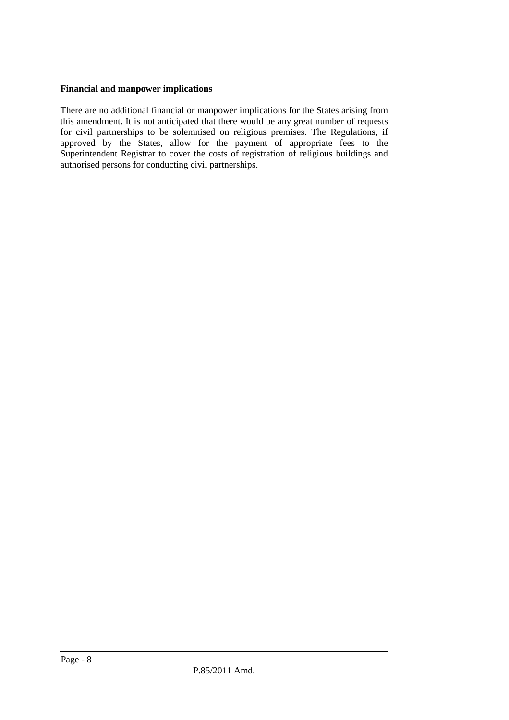# **Financial and manpower implications**

There are no additional financial or manpower implications for the States arising from this amendment. It is not anticipated that there would be any great number of requests for civil partnerships to be solemnised on religious premises. The Regulations, if approved by the States, allow for the payment of appropriate fees to the Superintendent Registrar to cover the costs of registration of religious buildings and authorised persons for conducting civil partnerships.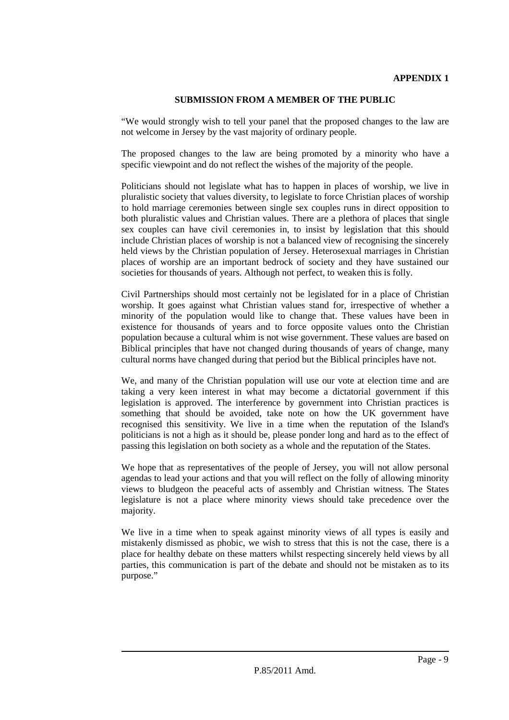# **APPENDIX 1**

#### **SUBMISSION FROM A MEMBER OF THE PUBLIC**

"We would strongly wish to tell your panel that the proposed changes to the law are not welcome in Jersey by the vast majority of ordinary people.

The proposed changes to the law are being promoted by a minority who have a specific viewpoint and do not reflect the wishes of the majority of the people.

Politicians should not legislate what has to happen in places of worship, we live in pluralistic society that values diversity, to legislate to force Christian places of worship to hold marriage ceremonies between single sex couples runs in direct opposition to both pluralistic values and Christian values. There are a plethora of places that single sex couples can have civil ceremonies in, to insist by legislation that this should include Christian places of worship is not a balanced view of recognising the sincerely held views by the Christian population of Jersey. Heterosexual marriages in Christian places of worship are an important bedrock of society and they have sustained our societies for thousands of years. Although not perfect, to weaken this is folly.

Civil Partnerships should most certainly not be legislated for in a place of Christian worship. It goes against what Christian values stand for, irrespective of whether a minority of the population would like to change that. These values have been in existence for thousands of years and to force opposite values onto the Christian population because a cultural whim is not wise government. These values are based on Biblical principles that have not changed during thousands of years of change, many cultural norms have changed during that period but the Biblical principles have not.

We, and many of the Christian population will use our vote at election time and are taking a very keen interest in what may become a dictatorial government if this legislation is approved. The interference by government into Christian practices is something that should be avoided, take note on how the UK government have recognised this sensitivity. We live in a time when the reputation of the Island's politicians is not a high as it should be, please ponder long and hard as to the effect of passing this legislation on both society as a whole and the reputation of the States.

We hope that as representatives of the people of Jersey, you will not allow personal agendas to lead your actions and that you will reflect on the folly of allowing minority views to bludgeon the peaceful acts of assembly and Christian witness. The States legislature is not a place where minority views should take precedence over the majority.

We live in a time when to speak against minority views of all types is easily and mistakenly dismissed as phobic, we wish to stress that this is not the case, there is a place for healthy debate on these matters whilst respecting sincerely held views by all parties, this communication is part of the debate and should not be mistaken as to its purpose."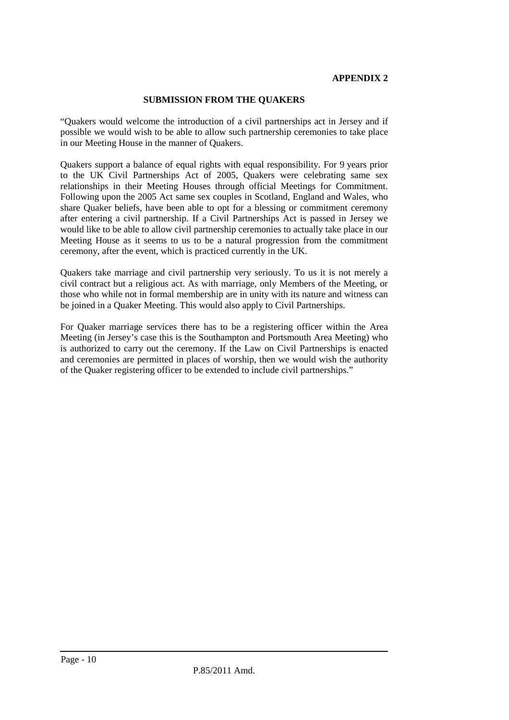#### **APPENDIX 2**

#### **SUBMISSION FROM THE QUAKERS**

"Quakers would welcome the introduction of a civil partnerships act in Jersey and if possible we would wish to be able to allow such partnership ceremonies to take place in our Meeting House in the manner of Quakers.

Quakers support a balance of equal rights with equal responsibility. For 9 years prior to the UK Civil Partnerships Act of 2005, Quakers were celebrating same sex relationships in their Meeting Houses through official Meetings for Commitment. Following upon the 2005 Act same sex couples in Scotland, England and Wales, who share Quaker beliefs, have been able to opt for a blessing or commitment ceremony after entering a civil partnership. If a Civil Partnerships Act is passed in Jersey we would like to be able to allow civil partnership ceremonies to actually take place in our Meeting House as it seems to us to be a natural progression from the commitment ceremony, after the event, which is practiced currently in the UK.

Quakers take marriage and civil partnership very seriously. To us it is not merely a civil contract but a religious act. As with marriage, only Members of the Meeting, or those who while not in formal membership are in unity with its nature and witness can be joined in a Quaker Meeting. This would also apply to Civil Partnerships.

For Quaker marriage services there has to be a registering officer within the Area Meeting (in Jersey's case this is the Southampton and Portsmouth Area Meeting) who is authorized to carry out the ceremony. If the Law on Civil Partnerships is enacted and ceremonies are permitted in places of worship, then we would wish the authority of the Quaker registering officer to be extended to include civil partnerships."